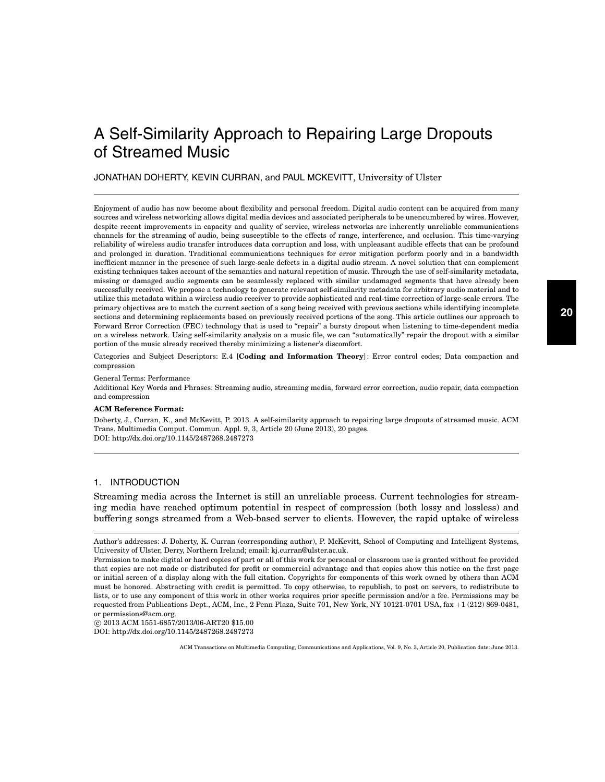# A Self-Similarity Approach to Repairing Large Dropouts of Streamed Music

## JONATHAN DOHERTY, KEVIN CURRAN, and PAUL MCKEVITT, University of Ulster

Enjoyment of audio has now become about flexibility and personal freedom. Digital audio content can be acquired from many sources and wireless networking allows digital media devices and associated peripherals to be unencumbered by wires. However, despite recent improvements in capacity and quality of service, wireless networks are inherently unreliable communications channels for the streaming of audio, being susceptible to the effects of range, interference, and occlusion. This time-varying reliability of wireless audio transfer introduces data corruption and loss, with unpleasant audible effects that can be profound and prolonged in duration. Traditional communications techniques for error mitigation perform poorly and in a bandwidth inefficient manner in the presence of such large-scale defects in a digital audio stream. A novel solution that can complement existing techniques takes account of the semantics and natural repetition of music. Through the use of self-similarity metadata, missing or damaged audio segments can be seamlessly replaced with similar undamaged segments that have already been successfully received. We propose a technology to generate relevant self-similarity metadata for arbitrary audio material and to utilize this metadata within a wireless audio receiver to provide sophisticated and real-time correction of large-scale errors. The primary objectives are to match the current section of a song being received with previous sections while identifying incomplete sections and determining replacements based on previously received portions of the song. This article outlines our approach to Forward Error Correction (FEC) technology that is used to "repair" a bursty dropout when listening to time-dependent media on a wireless network. Using self-similarity analysis on a music file, we can "automatically" repair the dropout with a similar portion of the music already received thereby minimizing a listener's discomfort.

Categories and Subject Descriptors: E.4 [**Coding and Information Theory**]: Error control codes; Data compaction and compression

General Terms: Performance

Additional Key Words and Phrases: Streaming audio, streaming media, forward error correction, audio repair, data compaction and compression

#### **ACM Reference Format:**

Doherty, J., Curran, K., and McKevitt, P. 2013. A self-similarity approach to repairing large dropouts of streamed music. ACM Trans. Multimedia Comput. Commun. Appl. 9, 3, Article 20 (June 2013), 20 pages. DOI: http://dx.doi.org/10.1145/2487268.2487273

## 1. INTRODUCTION

Streaming media across the Internet is still an unreliable process. Current technologies for streaming media have reached optimum potential in respect of compression (both lossy and lossless) and buffering songs streamed from a Web-based server to clients. However, the rapid uptake of wireless

°c 2013 ACM 1551-6857/2013/06-ART20 \$15.00 DOI: http://dx.doi.org/10.1145/2487268.2487273

Author's addresses: J. Doherty, K. Curran (corresponding author), P. McKevitt, School of Computing and Intelligent Systems, University of Ulster, Derry, Northern Ireland; email: kj.curran@ulster.ac.uk.

Permission to make digital or hard copies of part or all of this work for personal or classroom use is granted without fee provided that copies are not made or distributed for profit or commercial advantage and that copies show this notice on the first page or initial screen of a display along with the full citation. Copyrights for components of this work owned by others than ACM must be honored. Abstracting with credit is permitted. To copy otherwise, to republish, to post on servers, to redistribute to lists, or to use any component of this work in other works requires prior specific permission and/or a fee. Permissions may be requested from Publications Dept., ACM, Inc., 2 Penn Plaza, Suite 701, New York, NY 10121-0701 USA, fax +1 (212) 869-0481, or permissions@acm.org.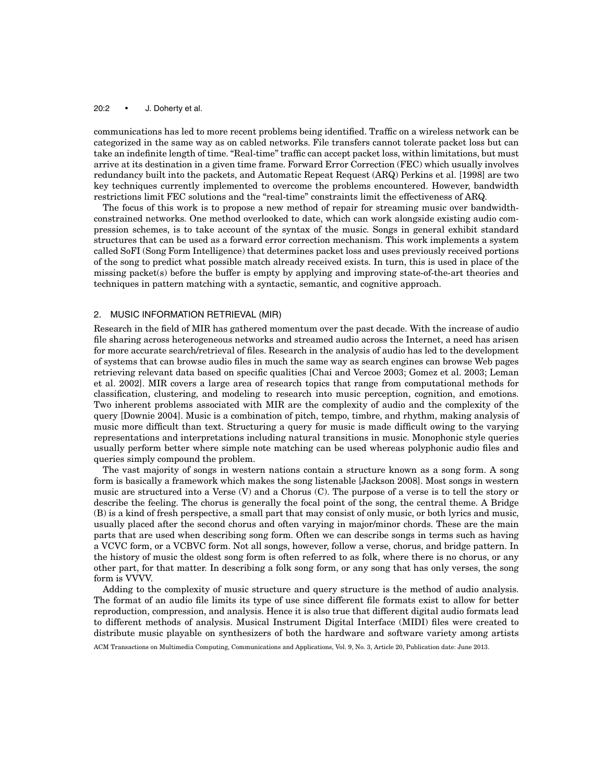### 20:2 • J. Doherty et al.

communications has led to more recent problems being identified. Traffic on a wireless network can be categorized in the same way as on cabled networks. File transfers cannot tolerate packet loss but can take an indefinite length of time. "Real-time" traffic can accept packet loss, within limitations, but must arrive at its destination in a given time frame. Forward Error Correction (FEC) which usually involves redundancy built into the packets, and Automatic Repeat Request (ARQ) Perkins et al. [1998] are two key techniques currently implemented to overcome the problems encountered. However, bandwidth restrictions limit FEC solutions and the "real-time" constraints limit the effectiveness of ARQ.

The focus of this work is to propose a new method of repair for streaming music over bandwidthconstrained networks. One method overlooked to date, which can work alongside existing audio compression schemes, is to take account of the syntax of the music. Songs in general exhibit standard structures that can be used as a forward error correction mechanism. This work implements a system called SoFI (Song Form Intelligence) that determines packet loss and uses previously received portions of the song to predict what possible match already received exists. In turn, this is used in place of the missing packet(s) before the buffer is empty by applying and improving state-of-the-art theories and techniques in pattern matching with a syntactic, semantic, and cognitive approach.

## 2. MUSIC INFORMATION RETRIEVAL (MIR)

Research in the field of MIR has gathered momentum over the past decade. With the increase of audio file sharing across heterogeneous networks and streamed audio across the Internet, a need has arisen for more accurate search/retrieval of files. Research in the analysis of audio has led to the development of systems that can browse audio files in much the same way as search engines can browse Web pages retrieving relevant data based on specific qualities [Chai and Vercoe 2003; Gomez et al. 2003; Leman et al. 2002]. MIR covers a large area of research topics that range from computational methods for classification, clustering, and modeling to research into music perception, cognition, and emotions. Two inherent problems associated with MIR are the complexity of audio and the complexity of the query [Downie 2004]. Music is a combination of pitch, tempo, timbre, and rhythm, making analysis of music more difficult than text. Structuring a query for music is made difficult owing to the varying representations and interpretations including natural transitions in music. Monophonic style queries usually perform better where simple note matching can be used whereas polyphonic audio files and queries simply compound the problem.

The vast majority of songs in western nations contain a structure known as a song form. A song form is basically a framework which makes the song listenable [Jackson 2008]. Most songs in western music are structured into a Verse (V) and a Chorus (C). The purpose of a verse is to tell the story or describe the feeling. The chorus is generally the focal point of the song, the central theme. A Bridge (B) is a kind of fresh perspective, a small part that may consist of only music, or both lyrics and music, usually placed after the second chorus and often varying in major/minor chords. These are the main parts that are used when describing song form. Often we can describe songs in terms such as having a VCVC form, or a VCBVC form. Not all songs, however, follow a verse, chorus, and bridge pattern. In the history of music the oldest song form is often referred to as folk, where there is no chorus, or any other part, for that matter. In describing a folk song form, or any song that has only verses, the song form is VVVV.

Adding to the complexity of music structure and query structure is the method of audio analysis. The format of an audio file limits its type of use since different file formats exist to allow for better reproduction, compression, and analysis. Hence it is also true that different digital audio formats lead to different methods of analysis. Musical Instrument Digital Interface (MIDI) files were created to distribute music playable on synthesizers of both the hardware and software variety among artists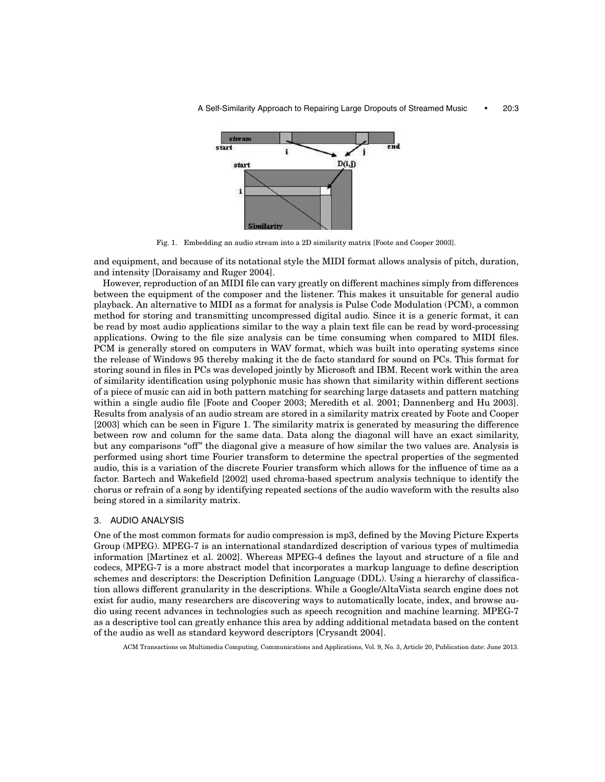A Self-Similarity Approach to Repairing Large Dropouts of Streamed Music • 20:3



Fig. 1. Embedding an audio stream into a 2D similarity matrix [Foote and Cooper 2003].

and equipment, and because of its notational style the MIDI format allows analysis of pitch, duration, and intensity [Doraisamy and Ruger 2004].

However, reproduction of an MIDI file can vary greatly on different machines simply from differences between the equipment of the composer and the listener. This makes it unsuitable for general audio playback. An alternative to MIDI as a format for analysis is Pulse Code Modulation (PCM), a common method for storing and transmitting uncompressed digital audio. Since it is a generic format, it can be read by most audio applications similar to the way a plain text file can be read by word-processing applications. Owing to the file size analysis can be time consuming when compared to MIDI files. PCM is generally stored on computers in WAV format, which was built into operating systems since the release of Windows 95 thereby making it the de facto standard for sound on PCs. This format for storing sound in files in PCs was developed jointly by Microsoft and IBM. Recent work within the area of similarity identification using polyphonic music has shown that similarity within different sections of a piece of music can aid in both pattern matching for searching large datasets and pattern matching within a single audio file [Foote and Cooper 2003; Meredith et al. 2001; Dannenberg and Hu 2003]. Results from analysis of an audio stream are stored in a similarity matrix created by Foote and Cooper [2003] which can be seen in Figure 1. The similarity matrix is generated by measuring the difference between row and column for the same data. Data along the diagonal will have an exact similarity, but any comparisons "off" the diagonal give a measure of how similar the two values are. Analysis is performed using short time Fourier transform to determine the spectral properties of the segmented audio, this is a variation of the discrete Fourier transform which allows for the influence of time as a factor. Bartech and Wakefield [2002] used chroma-based spectrum analysis technique to identify the chorus or refrain of a song by identifying repeated sections of the audio waveform with the results also being stored in a similarity matrix.

#### 3. AUDIO ANALYSIS

One of the most common formats for audio compression is mp3, defined by the Moving Picture Experts Group (MPEG). MPEG-7 is an international standardized description of various types of multimedia information [Martinez et al. 2002]. Whereas MPEG-4 defines the layout and structure of a file and codecs, MPEG-7 is a more abstract model that incorporates a markup language to define description schemes and descriptors: the Description Definition Language (DDL). Using a hierarchy of classification allows different granularity in the descriptions. While a Google/AltaVista search engine does not exist for audio, many researchers are discovering ways to automatically locate, index, and browse audio using recent advances in technologies such as speech recognition and machine learning. MPEG-7 as a descriptive tool can greatly enhance this area by adding additional metadata based on the content of the audio as well as standard keyword descriptors [Crysandt 2004].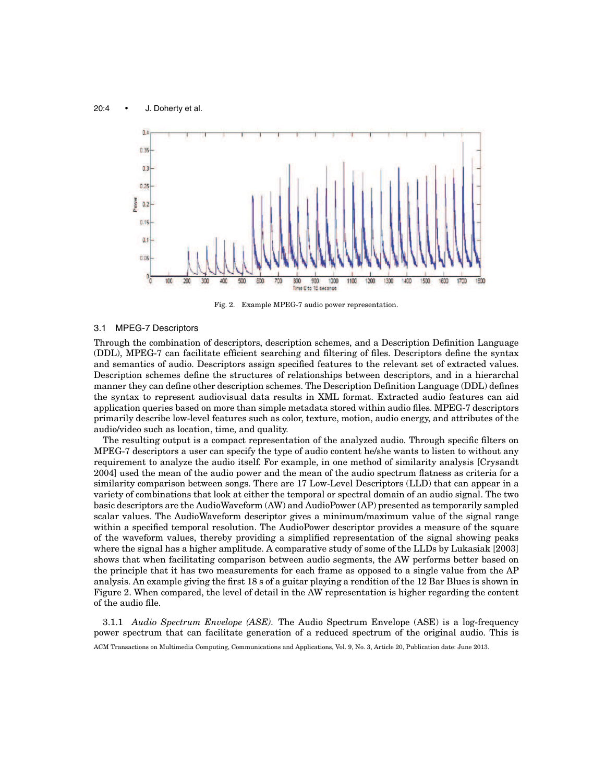20:4 • J. Doherty et al.



Fig. 2. Example MPEG-7 audio power representation.

#### 3.1 MPEG-7 Descriptors

Through the combination of descriptors, description schemes, and a Description Definition Language (DDL), MPEG-7 can facilitate efficient searching and filtering of files. Descriptors define the syntax and semantics of audio. Descriptors assign specified features to the relevant set of extracted values. Description schemes define the structures of relationships between descriptors, and in a hierarchal manner they can define other description schemes. The Description Definition Language (DDL) defines the syntax to represent audiovisual data results in XML format. Extracted audio features can aid application queries based on more than simple metadata stored within audio files. MPEG-7 descriptors primarily describe low-level features such as color, texture, motion, audio energy, and attributes of the audio/video such as location, time, and quality.

The resulting output is a compact representation of the analyzed audio. Through specific filters on MPEG-7 descriptors a user can specify the type of audio content he/she wants to listen to without any requirement to analyze the audio itself. For example, in one method of similarity analysis [Crysandt 2004] used the mean of the audio power and the mean of the audio spectrum flatness as criteria for a similarity comparison between songs. There are 17 Low-Level Descriptors (LLD) that can appear in a variety of combinations that look at either the temporal or spectral domain of an audio signal. The two basic descriptors are the AudioWaveform (AW) and AudioPower (AP) presented as temporarily sampled scalar values. The AudioWaveform descriptor gives a minimum/maximum value of the signal range within a specified temporal resolution. The AudioPower descriptor provides a measure of the square of the waveform values, thereby providing a simplified representation of the signal showing peaks where the signal has a higher amplitude. A comparative study of some of the LLDs by Lukasiak [2003] shows that when facilitating comparison between audio segments, the AW performs better based on the principle that it has two measurements for each frame as opposed to a single value from the AP analysis. An example giving the first 18 s of a guitar playing a rendition of the 12 Bar Blues is shown in Figure 2. When compared, the level of detail in the AW representation is higher regarding the content of the audio file.

3.1.1 *Audio Spectrum Envelope (ASE).* The Audio Spectrum Envelope (ASE) is a log-frequency power spectrum that can facilitate generation of a reduced spectrum of the original audio. This is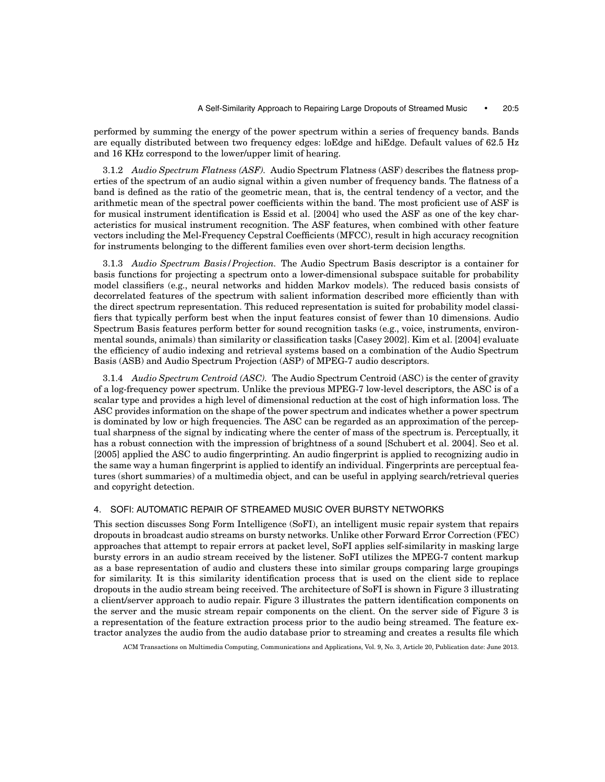performed by summing the energy of the power spectrum within a series of frequency bands. Bands are equally distributed between two frequency edges: loEdge and hiEdge. Default values of 62.5 Hz and 16 KHz correspond to the lower/upper limit of hearing.

3.1.2 *Audio Spectrum Flatness (ASF).* Audio Spectrum Flatness (ASF) describes the flatness properties of the spectrum of an audio signal within a given number of frequency bands. The flatness of a band is defined as the ratio of the geometric mean, that is, the central tendency of a vector, and the arithmetic mean of the spectral power coefficients within the band. The most proficient use of ASF is for musical instrument identification is Essid et al. [2004] who used the ASF as one of the key characteristics for musical instrument recognition. The ASF features, when combined with other feature vectors including the Mel-Frequency Cepstral Coefficients (MFCC), result in high accuracy recognition for instruments belonging to the different families even over short-term decision lengths.

3.1.3 *Audio Spectrum Basis/Projection.* The Audio Spectrum Basis descriptor is a container for basis functions for projecting a spectrum onto a lower-dimensional subspace suitable for probability model classifiers (e.g., neural networks and hidden Markov models). The reduced basis consists of decorrelated features of the spectrum with salient information described more efficiently than with the direct spectrum representation. This reduced representation is suited for probability model classifiers that typically perform best when the input features consist of fewer than 10 dimensions. Audio Spectrum Basis features perform better for sound recognition tasks (e.g., voice, instruments, environmental sounds, animals) than similarity or classification tasks [Casey 2002]. Kim et al. [2004] evaluate the efficiency of audio indexing and retrieval systems based on a combination of the Audio Spectrum Basis (ASB) and Audio Spectrum Projection (ASP) of MPEG-7 audio descriptors.

3.1.4 *Audio Spectrum Centroid (ASC).* The Audio Spectrum Centroid (ASC) is the center of gravity of a log-frequency power spectrum. Unlike the previous MPEG-7 low-level descriptors, the ASC is of a scalar type and provides a high level of dimensional reduction at the cost of high information loss. The ASC provides information on the shape of the power spectrum and indicates whether a power spectrum is dominated by low or high frequencies. The ASC can be regarded as an approximation of the perceptual sharpness of the signal by indicating where the center of mass of the spectrum is. Perceptually, it has a robust connection with the impression of brightness of a sound [Schubert et al. 2004]. Seo et al. [2005] applied the ASC to audio fingerprinting. An audio fingerprint is applied to recognizing audio in the same way a human fingerprint is applied to identify an individual. Fingerprints are perceptual features (short summaries) of a multimedia object, and can be useful in applying search/retrieval queries and copyright detection.

## 4. SOFI: AUTOMATIC REPAIR OF STREAMED MUSIC OVER BURSTY NETWORKS

This section discusses Song Form Intelligence (SoFI), an intelligent music repair system that repairs dropouts in broadcast audio streams on bursty networks. Unlike other Forward Error Correction (FEC) approaches that attempt to repair errors at packet level, SoFI applies self-similarity in masking large bursty errors in an audio stream received by the listener. SoFI utilizes the MPEG-7 content markup as a base representation of audio and clusters these into similar groups comparing large groupings for similarity. It is this similarity identification process that is used on the client side to replace dropouts in the audio stream being received. The architecture of SoFI is shown in Figure 3 illustrating a client/server approach to audio repair. Figure 3 illustrates the pattern identification components on the server and the music stream repair components on the client. On the server side of Figure 3 is a representation of the feature extraction process prior to the audio being streamed. The feature extractor analyzes the audio from the audio database prior to streaming and creates a results file which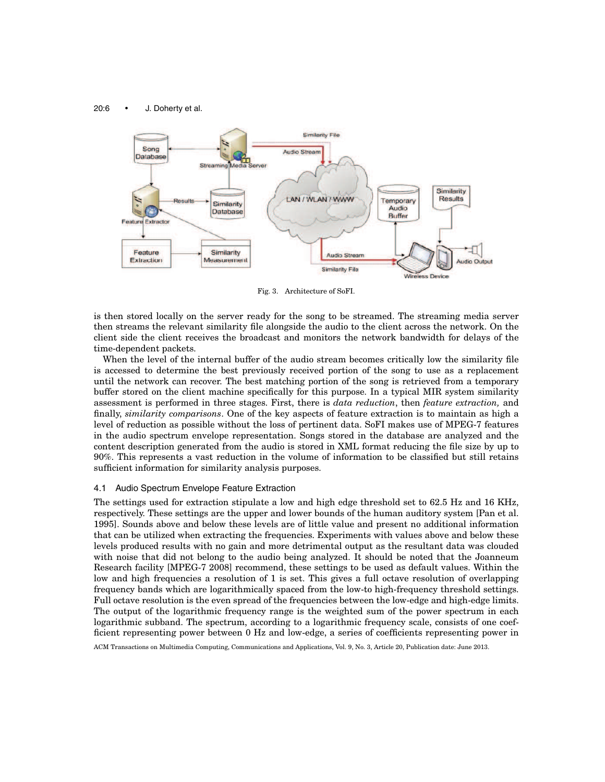20:6 • J. Doherty et al.



Fig. 3. Architecture of SoFI.

is then stored locally on the server ready for the song to be streamed. The streaming media server then streams the relevant similarity file alongside the audio to the client across the network. On the client side the client receives the broadcast and monitors the network bandwidth for delays of the time-dependent packets.

When the level of the internal buffer of the audio stream becomes critically low the similarity file is accessed to determine the best previously received portion of the song to use as a replacement until the network can recover. The best matching portion of the song is retrieved from a temporary buffer stored on the client machine specifically for this purpose. In a typical MIR system similarity assessment is performed in three stages. First, there is *data reduction*, then *feature extraction,* and finally, *similarity comparisons*. One of the key aspects of feature extraction is to maintain as high a level of reduction as possible without the loss of pertinent data. SoFI makes use of MPEG-7 features in the audio spectrum envelope representation. Songs stored in the database are analyzed and the content description generated from the audio is stored in XML format reducing the file size by up to 90%. This represents a vast reduction in the volume of information to be classified but still retains sufficient information for similarity analysis purposes.

## 4.1 Audio Spectrum Envelope Feature Extraction

The settings used for extraction stipulate a low and high edge threshold set to 62.5 Hz and 16 KHz, respectively. These settings are the upper and lower bounds of the human auditory system [Pan et al. 1995]. Sounds above and below these levels are of little value and present no additional information that can be utilized when extracting the frequencies. Experiments with values above and below these levels produced results with no gain and more detrimental output as the resultant data was clouded with noise that did not belong to the audio being analyzed. It should be noted that the Joanneum Research facility [MPEG-7 2008] recommend, these settings to be used as default values. Within the low and high frequencies a resolution of 1 is set. This gives a full octave resolution of overlapping frequency bands which are logarithmically spaced from the low-to high-frequency threshold settings. Full octave resolution is the even spread of the frequencies between the low-edge and high-edge limits. The output of the logarithmic frequency range is the weighted sum of the power spectrum in each logarithmic subband. The spectrum, according to a logarithmic frequency scale, consists of one coefficient representing power between 0 Hz and low-edge, a series of coefficients representing power in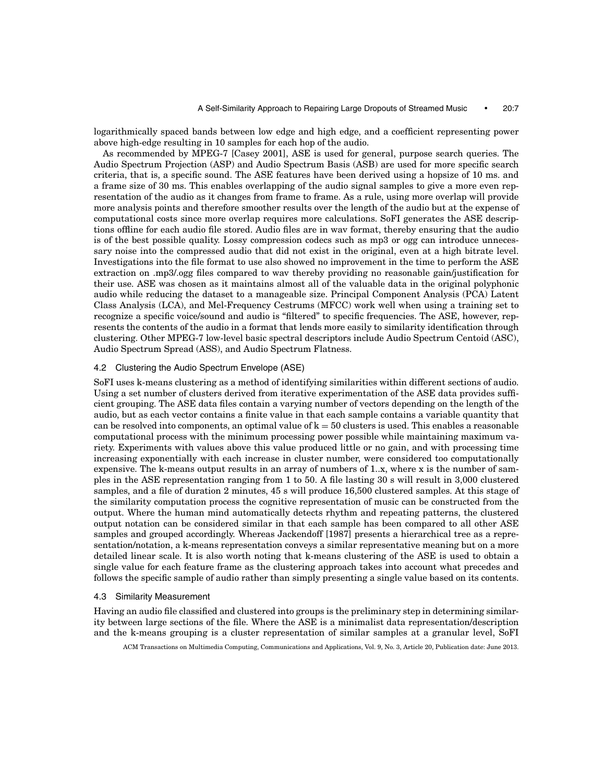logarithmically spaced bands between low edge and high edge, and a coefficient representing power above high-edge resulting in 10 samples for each hop of the audio.

As recommended by MPEG-7 [Casey 2001], ASE is used for general, purpose search queries. The Audio Spectrum Projection (ASP) and Audio Spectrum Basis (ASB) are used for more specific search criteria, that is, a specific sound. The ASE features have been derived using a hopsize of 10 ms. and a frame size of 30 ms. This enables overlapping of the audio signal samples to give a more even representation of the audio as it changes from frame to frame. As a rule, using more overlap will provide more analysis points and therefore smoother results over the length of the audio but at the expense of computational costs since more overlap requires more calculations. SoFI generates the ASE descriptions offline for each audio file stored. Audio files are in wav format, thereby ensuring that the audio is of the best possible quality. Lossy compression codecs such as mp3 or ogg can introduce unnecessary noise into the compressed audio that did not exist in the original, even at a high bitrate level. Investigations into the file format to use also showed no improvement in the time to perform the ASE extraction on .mp3/.ogg files compared to wav thereby providing no reasonable gain/justification for their use. ASE was chosen as it maintains almost all of the valuable data in the original polyphonic audio while reducing the dataset to a manageable size. Principal Component Analysis (PCA) Latent Class Analysis (LCA), and Mel-Frequency Cestrums (MFCC) work well when using a training set to recognize a specific voice/sound and audio is "filtered" to specific frequencies. The ASE, however, represents the contents of the audio in a format that lends more easily to similarity identification through clustering. Other MPEG-7 low-level basic spectral descriptors include Audio Spectrum Centoid (ASC), Audio Spectrum Spread (ASS), and Audio Spectrum Flatness.

## 4.2 Clustering the Audio Spectrum Envelope (ASE)

SoFI uses k-means clustering as a method of identifying similarities within different sections of audio. Using a set number of clusters derived from iterative experimentation of the ASE data provides sufficient grouping. The ASE data files contain a varying number of vectors depending on the length of the audio, but as each vector contains a finite value in that each sample contains a variable quantity that can be resolved into components, an optimal value of  $k = 50$  clusters is used. This enables a reasonable computational process with the minimum processing power possible while maintaining maximum variety. Experiments with values above this value produced little or no gain, and with processing time increasing exponentially with each increase in cluster number, were considered too computationally expensive. The k-means output results in an array of numbers of 1..x, where x is the number of samples in the ASE representation ranging from 1 to 50. A file lasting 30 s will result in 3,000 clustered samples, and a file of duration 2 minutes, 45 s will produce 16,500 clustered samples. At this stage of the similarity computation process the cognitive representation of music can be constructed from the output. Where the human mind automatically detects rhythm and repeating patterns, the clustered output notation can be considered similar in that each sample has been compared to all other ASE samples and grouped accordingly. Whereas Jackendoff [1987] presents a hierarchical tree as a representation/notation, a k-means representation conveys a similar representative meaning but on a more detailed linear scale. It is also worth noting that k-means clustering of the ASE is used to obtain a single value for each feature frame as the clustering approach takes into account what precedes and follows the specific sample of audio rather than simply presenting a single value based on its contents.

### 4.3 Similarity Measurement

Having an audio file classified and clustered into groups is the preliminary step in determining similarity between large sections of the file. Where the ASE is a minimalist data representation/description and the k-means grouping is a cluster representation of similar samples at a granular level, SoFI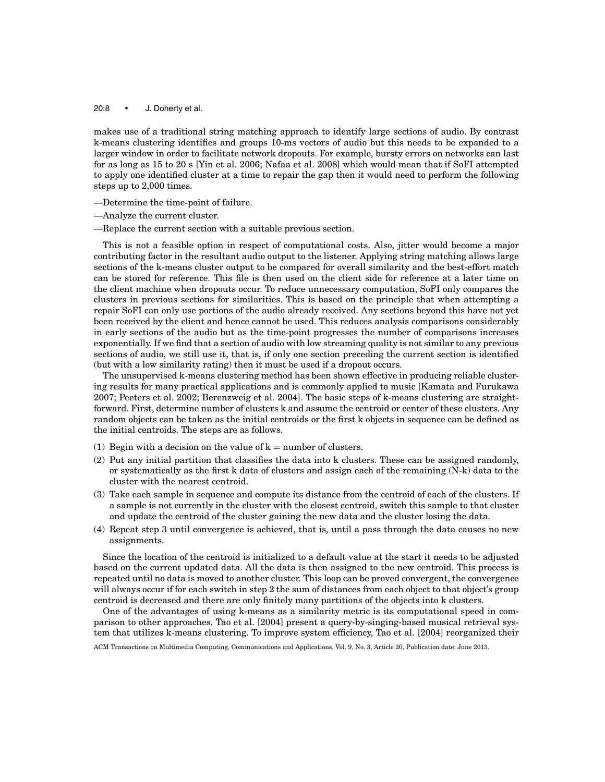## 20:8 • J. Doherty et al.

makes use of a traditional string matching approach to identify large sections of audio. By contrast k-means clustering identifies and groups 10-ms vectors of audio but this needs to be expanded to a larger window in order to facilitate network dropouts. For example, bursty errors on networks can last for as long as 15 to 20 s [Yin et al. 2006; Nafaa et al. 2008] which would mean that if SoFI attempted to apply one identified cluster at a time to repair the gap then it would need to perform the following steps up to 2,000 times.

—Determine the time-point of failure.

—Analyze the current cluster.

—Replace the current section with a suitable previous section.

This is not a feasible option in respect of computational costs. Also, jitter would become a major contributing factor in the resultant audio output to the listener. Applying string matching allows large sections of the k-means cluster output to be compared for overall similarity and the best-effort match can be stored for reference. This file is then used on the client side for reference at a later time on the client machine when dropouts occur. To reduce unnecessary computation, SoFI only compares the clusters in previous sections for similarities. This is based on the principle that when attempting a repair SoFI can only use portions of the audio already received. Any sections beyond this have not yet been received by the client and hence cannot be used. This reduces analysis comparisons considerably in early sections of the audio but as the time-point progresses the number of comparisons increases exponentially. If we find that a section of audio with low streaming quality is not similar to any previous sections of audio, we still use it, that is, if only one section preceding the current section is identified (but with a low similarity rating) then it must be used if a dropout occurs.

The unsupervised k-means clustering method has been shown effective in producing reliable clustering results for many practical applications and is commonly applied to music [Kamata and Furukawa 2007; Peeters et al. 2002; Berenzweig et al. 2004]. The basic steps of k-means clustering are straightforward. First, determine number of clusters k and assume the centroid or center of these clusters. Any random objects can be taken as the initial centroids or the first k objects in sequence can be defined as the initial centroids. The steps are as follows.

- (1) Begin with a decision on the value of  $k =$  number of clusters.
- (2) Put any initial partition that classifies the data into k clusters. These can be assigned randomly, or systematically as the first k data of clusters and assign each of the remaining (N-k) data to the cluster with the nearest centroid.
- (3) Take each sample in sequence and compute its distance from the centroid of each of the clusters. If a sample is not currently in the cluster with the closest centroid, switch this sample to that cluster and update the centroid of the cluster gaining the new data and the cluster losing the data.
- (4) Repeat step 3 until convergence is achieved, that is, until a pass through the data causes no new assignments.

Since the location of the centroid is initialized to a default value at the start it needs to be adjusted based on the current updated data. All the data is then assigned to the new centroid. This process is repeated until no data is moved to another cluster. This loop can be proved convergent, the convergence will always occur if for each switch in step 2 the sum of distances from each object to that object's group centroid is decreased and there are only finitely many partitions of the objects into k clusters.

One of the advantages of using k-means as a similarity metric is its computational speed in comparison to other approaches. Tao et al. [2004] present a query-by-singing-based musical retrieval system that utilizes k-means clustering. To improve system efficiency, Tao et al. [2004] reorganized their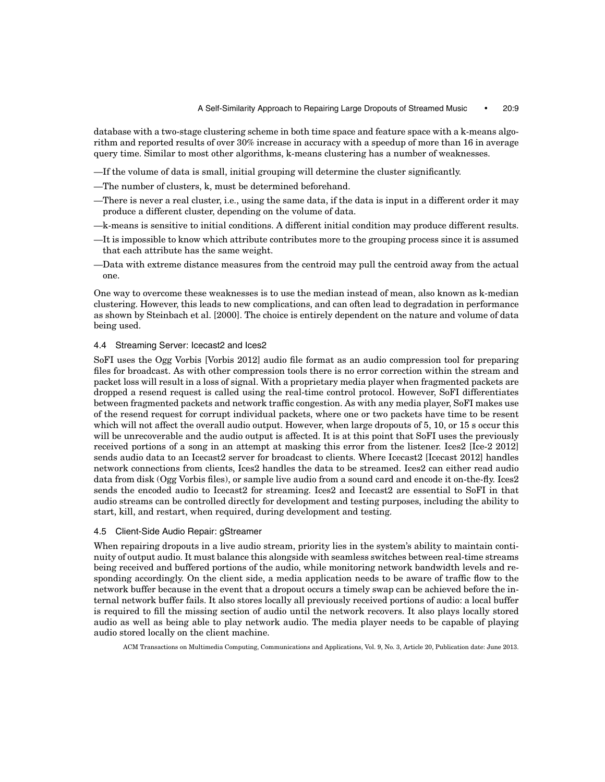database with a two-stage clustering scheme in both time space and feature space with a k-means algorithm and reported results of over 30% increase in accuracy with a speedup of more than 16 in average query time. Similar to most other algorithms, k-means clustering has a number of weaknesses.

- —If the volume of data is small, initial grouping will determine the cluster significantly.
- —The number of clusters, k, must be determined beforehand.
- —There is never a real cluster, i.e., using the same data, if the data is input in a different order it may produce a different cluster, depending on the volume of data.
- —k-means is sensitive to initial conditions. A different initial condition may produce different results.
- —It is impossible to know which attribute contributes more to the grouping process since it is assumed that each attribute has the same weight.
- —Data with extreme distance measures from the centroid may pull the centroid away from the actual one.

One way to overcome these weaknesses is to use the median instead of mean, also known as k-median clustering. However, this leads to new complications, and can often lead to degradation in performance as shown by Steinbach et al. [2000]. The choice is entirely dependent on the nature and volume of data being used.

#### 4.4 Streaming Server: Icecast2 and Ices2

SoFI uses the Ogg Vorbis [Vorbis 2012] audio file format as an audio compression tool for preparing files for broadcast. As with other compression tools there is no error correction within the stream and packet loss will result in a loss of signal. With a proprietary media player when fragmented packets are dropped a resend request is called using the real-time control protocol. However, SoFI differentiates between fragmented packets and network traffic congestion. As with any media player, SoFI makes use of the resend request for corrupt individual packets, where one or two packets have time to be resent which will not affect the overall audio output. However, when large dropouts of 5, 10, or 15 s occur this will be unrecoverable and the audio output is affected. It is at this point that SoFI uses the previously received portions of a song in an attempt at masking this error from the listener. Ices2 [Ice-2 2012] sends audio data to an Icecast2 server for broadcast to clients. Where Icecast2 [Icecast 2012] handles network connections from clients, Ices2 handles the data to be streamed. Ices2 can either read audio data from disk (Ogg Vorbis files), or sample live audio from a sound card and encode it on-the-fly. Ices2 sends the encoded audio to Icecast2 for streaming. Ices2 and Icecast2 are essential to SoFI in that audio streams can be controlled directly for development and testing purposes, including the ability to start, kill, and restart, when required, during development and testing.

#### 4.5 Client-Side Audio Repair: gStreamer

When repairing dropouts in a live audio stream, priority lies in the system's ability to maintain continuity of output audio. It must balance this alongside with seamless switches between real-time streams being received and buffered portions of the audio, while monitoring network bandwidth levels and responding accordingly. On the client side, a media application needs to be aware of traffic flow to the network buffer because in the event that a dropout occurs a timely swap can be achieved before the internal network buffer fails. It also stores locally all previously received portions of audio: a local buffer is required to fill the missing section of audio until the network recovers. It also plays locally stored audio as well as being able to play network audio. The media player needs to be capable of playing audio stored locally on the client machine.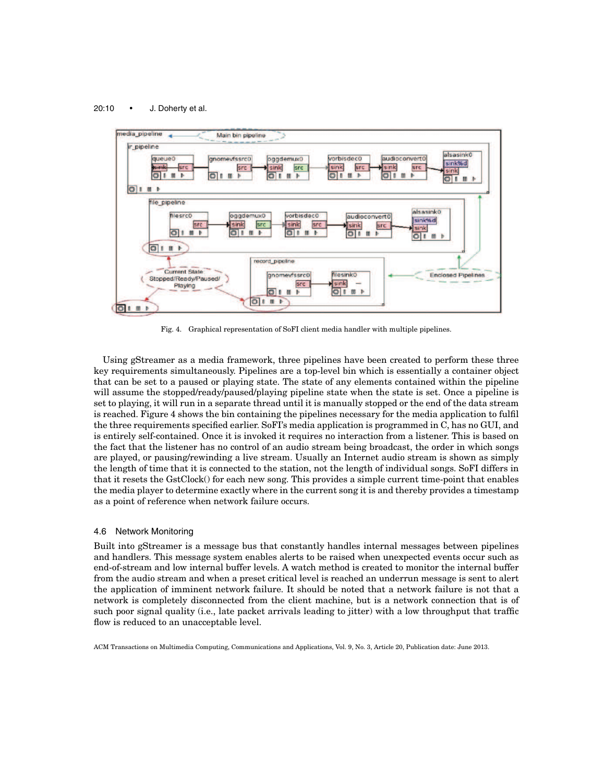## 20:10 • J. Doherty et al.



Fig. 4. Graphical representation of SoFI client media handler with multiple pipelines.

Using gStreamer as a media framework, three pipelines have been created to perform these three key requirements simultaneously. Pipelines are a top-level bin which is essentially a container object that can be set to a paused or playing state. The state of any elements contained within the pipeline will assume the stopped/ready/paused/playing pipeline state when the state is set. Once a pipeline is set to playing, it will run in a separate thread until it is manually stopped or the end of the data stream is reached. Figure 4 shows the bin containing the pipelines necessary for the media application to fulfil the three requirements specified earlier. SoFI's media application is programmed in C, has no GUI, and is entirely self-contained. Once it is invoked it requires no interaction from a listener. This is based on the fact that the listener has no control of an audio stream being broadcast, the order in which songs are played, or pausing/rewinding a live stream. Usually an Internet audio stream is shown as simply the length of time that it is connected to the station, not the length of individual songs. SoFI differs in that it resets the GstClock() for each new song. This provides a simple current time-point that enables the media player to determine exactly where in the current song it is and thereby provides a timestamp as a point of reference when network failure occurs.

#### 4.6 Network Monitoring

Built into gStreamer is a message bus that constantly handles internal messages between pipelines and handlers. This message system enables alerts to be raised when unexpected events occur such as end-of-stream and low internal buffer levels. A watch method is created to monitor the internal buffer from the audio stream and when a preset critical level is reached an underrun message is sent to alert the application of imminent network failure. It should be noted that a network failure is not that a network is completely disconnected from the client machine, but is a network connection that is of such poor signal quality (i.e., late packet arrivals leading to jitter) with a low throughput that traffic flow is reduced to an unacceptable level.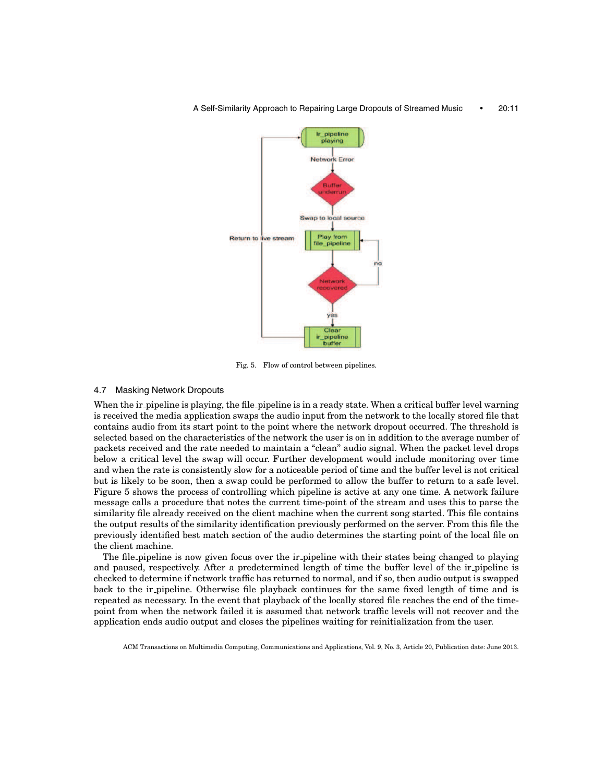A Self-Similarity Approach to Repairing Large Dropouts of Streamed Music • 20:11



Fig. 5. Flow of control between pipelines.

### 4.7 Masking Network Dropouts

When the ir pipeline is playing, the file pipeline is in a ready state. When a critical buffer level warning is received the media application swaps the audio input from the network to the locally stored file that contains audio from its start point to the point where the network dropout occurred. The threshold is selected based on the characteristics of the network the user is on in addition to the average number of packets received and the rate needed to maintain a "clean" audio signal. When the packet level drops below a critical level the swap will occur. Further development would include monitoring over time and when the rate is consistently slow for a noticeable period of time and the buffer level is not critical but is likely to be soon, then a swap could be performed to allow the buffer to return to a safe level. Figure 5 shows the process of controlling which pipeline is active at any one time. A network failure message calls a procedure that notes the current time-point of the stream and uses this to parse the similarity file already received on the client machine when the current song started. This file contains the output results of the similarity identification previously performed on the server. From this file the previously identified best match section of the audio determines the starting point of the local file on the client machine.

The file pipeline is now given focus over the ir pipeline with their states being changed to playing and paused, respectively. After a predetermined length of time the buffer level of the ir pipeline is checked to determine if network traffic has returned to normal, and if so, then audio output is swapped back to the ir pipeline. Otherwise file playback continues for the same fixed length of time and is repeated as necessary. In the event that playback of the locally stored file reaches the end of the timepoint from when the network failed it is assumed that network traffic levels will not recover and the application ends audio output and closes the pipelines waiting for reinitialization from the user.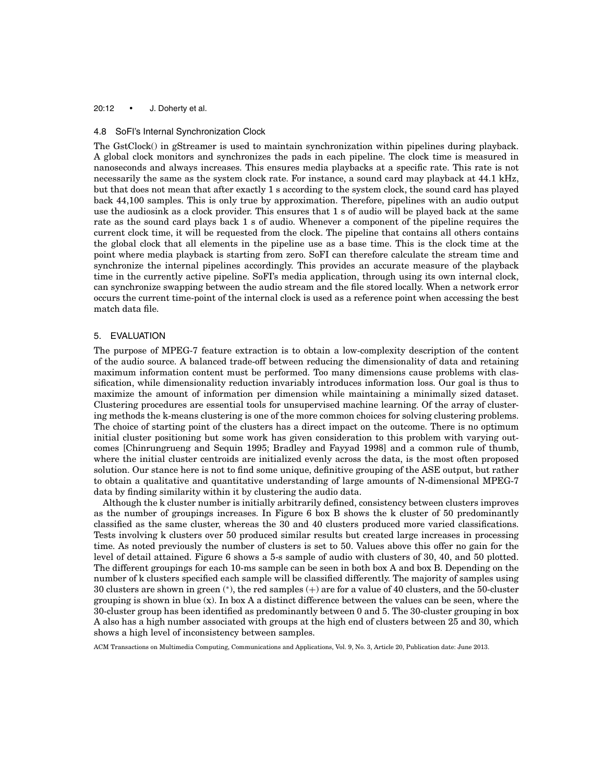## 20:12 • J. Doherty et al.

#### 4.8 SoFI's Internal Synchronization Clock

The GstClock() in gStreamer is used to maintain synchronization within pipelines during playback. A global clock monitors and synchronizes the pads in each pipeline. The clock time is measured in nanoseconds and always increases. This ensures media playbacks at a specific rate. This rate is not necessarily the same as the system clock rate. For instance, a sound card may playback at 44.1 kHz, but that does not mean that after exactly 1 s according to the system clock, the sound card has played back 44,100 samples. This is only true by approximation. Therefore, pipelines with an audio output use the audiosink as a clock provider. This ensures that 1 s of audio will be played back at the same rate as the sound card plays back 1 s of audio. Whenever a component of the pipeline requires the current clock time, it will be requested from the clock. The pipeline that contains all others contains the global clock that all elements in the pipeline use as a base time. This is the clock time at the point where media playback is starting from zero. SoFI can therefore calculate the stream time and synchronize the internal pipelines accordingly. This provides an accurate measure of the playback time in the currently active pipeline. SoFI's media application, through using its own internal clock, can synchronize swapping between the audio stream and the file stored locally. When a network error occurs the current time-point of the internal clock is used as a reference point when accessing the best match data file.

#### 5. EVALUATION

The purpose of MPEG-7 feature extraction is to obtain a low-complexity description of the content of the audio source. A balanced trade-off between reducing the dimensionality of data and retaining maximum information content must be performed. Too many dimensions cause problems with classification, while dimensionality reduction invariably introduces information loss. Our goal is thus to maximize the amount of information per dimension while maintaining a minimally sized dataset. Clustering procedures are essential tools for unsupervised machine learning. Of the array of clustering methods the k-means clustering is one of the more common choices for solving clustering problems. The choice of starting point of the clusters has a direct impact on the outcome. There is no optimum initial cluster positioning but some work has given consideration to this problem with varying outcomes [Chinrungrueng and Sequin 1995; Bradley and Fayyad 1998] and a common rule of thumb, where the initial cluster centroids are initialized evenly across the data, is the most often proposed solution. Our stance here is not to find some unique, definitive grouping of the ASE output, but rather to obtain a qualitative and quantitative understanding of large amounts of N-dimensional MPEG-7 data by finding similarity within it by clustering the audio data.

Although the k cluster number is initially arbitrarily defined, consistency between clusters improves as the number of groupings increases. In Figure 6 box B shows the k cluster of 50 predominantly classified as the same cluster, whereas the 30 and 40 clusters produced more varied classifications. Tests involving k clusters over 50 produced similar results but created large increases in processing time. As noted previously the number of clusters is set to 50. Values above this offer no gain for the level of detail attained. Figure 6 shows a 5-s sample of audio with clusters of 30, 40, and 50 plotted. The different groupings for each 10-ms sample can be seen in both box A and box B. Depending on the number of k clusters specified each sample will be classified differently. The majority of samples using 30 clusters are shown in green (<sup>∗</sup> ), the red samples (+) are for a value of 40 clusters, and the 50-cluster grouping is shown in blue (x). In box A a distinct difference between the values can be seen, where the 30-cluster group has been identified as predominantly between 0 and 5. The 30-cluster grouping in box A also has a high number associated with groups at the high end of clusters between 25 and 30, which shows a high level of inconsistency between samples.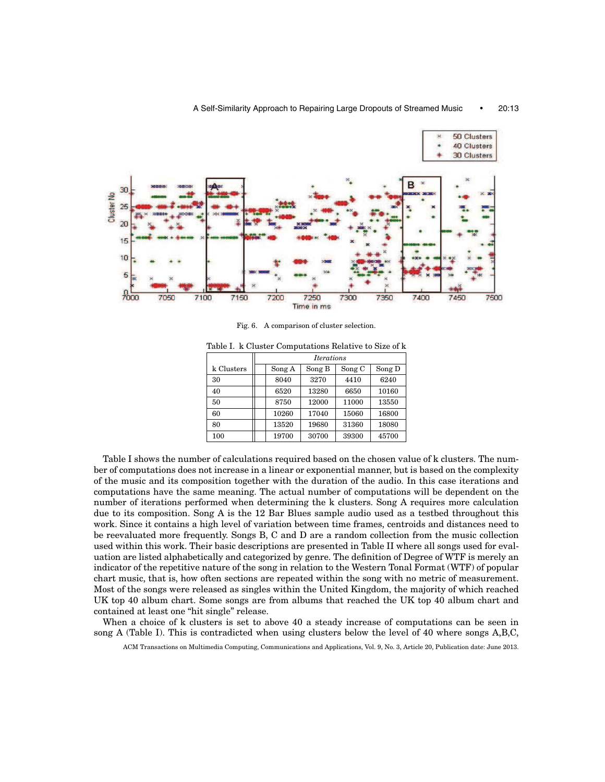

Fig. 6. A comparison of cluster selection.

| Table I. k Cluster Computations Relative to Size of k |  |
|-------------------------------------------------------|--|
|-------------------------------------------------------|--|

|            | <i><u><b>Iterations</b></u></i> |        |        |        |
|------------|---------------------------------|--------|--------|--------|
| k Clusters | Song A                          | Song B | Song C | Song D |
| 30         | 8040                            | 3270   | 4410   | 6240   |
| 40         | 6520                            | 13280  | 6650   | 10160  |
| 50         | 8750                            | 12000  | 11000  | 13550  |
| 60         | 10260                           | 17040  | 15060  | 16800  |
| 80         | 13520                           | 19680  | 31360  | 18080  |
| 100        | 19700                           | 30700  | 39300  | 45700  |
|            |                                 |        |        |        |

Table I shows the number of calculations required based on the chosen value of k clusters. The number of computations does not increase in a linear or exponential manner, but is based on the complexity of the music and its composition together with the duration of the audio. In this case iterations and computations have the same meaning. The actual number of computations will be dependent on the number of iterations performed when determining the k clusters. Song A requires more calculation due to its composition. Song A is the 12 Bar Blues sample audio used as a testbed throughout this work. Since it contains a high level of variation between time frames, centroids and distances need to be reevaluated more frequently. Songs B, C and D are a random collection from the music collection used within this work. Their basic descriptions are presented in Table II where all songs used for evaluation are listed alphabetically and categorized by genre. The definition of Degree of WTF is merely an indicator of the repetitive nature of the song in relation to the Western Tonal Format (WTF) of popular chart music, that is, how often sections are repeated within the song with no metric of measurement. Most of the songs were released as singles within the United Kingdom, the majority of which reached UK top 40 album chart. Some songs are from albums that reached the UK top 40 album chart and contained at least one "hit single" release.

When a choice of k clusters is set to above 40 a steady increase of computations can be seen in song A (Table I). This is contradicted when using clusters below the level of 40 where songs A,B,C,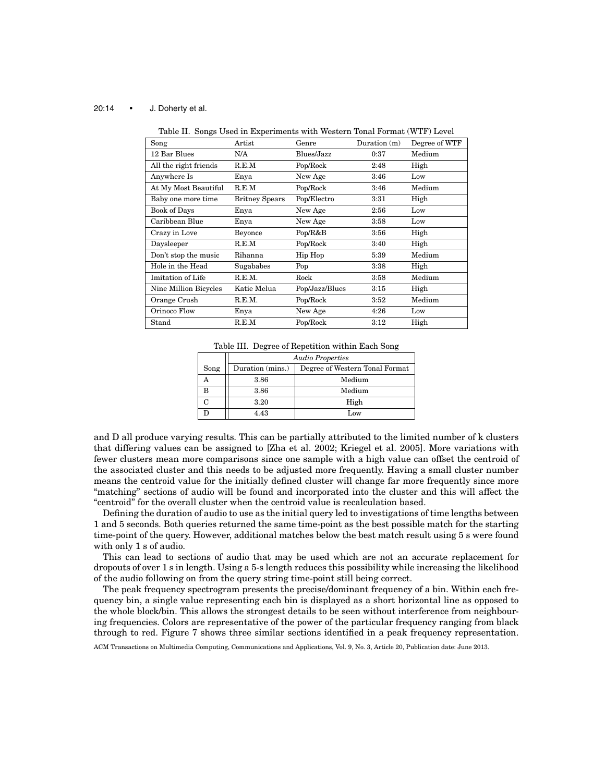## 20:14 • J. Doherty et al.

| Song                  | Artist                | Genre          | Duration $(m)$ | Degree of WTF |
|-----------------------|-----------------------|----------------|----------------|---------------|
| 12 Bar Blues          | N/A                   | Blues/Jazz     | 0:37           | Medium        |
| All the right friends | R.E.M                 | Pop/Rock       | 2:48           | High          |
| Anywhere Is           | Enya                  | New Age        | 3:46           | Low           |
| At My Most Beautiful  | R.E.M                 | Pop/Rock       | 3:46           | Medium        |
| Baby one more time    | <b>Britney Spears</b> | Pop/Electro    | 3:31           | High          |
| Book of Days          | Enya                  | New Age        | 2:56           | Low           |
| Caribbean Blue        | Enya                  | New Age        | 3:58           | Low           |
| Crazy in Love         | Beyonce               | Pop/R&B        | 3:56           | High          |
| Daysleeper            | R.E.M                 | Pop/Rock       | 3:40           | High          |
| Don't stop the music  | Rihanna               | Hip Hop        | 5:39           | Medium        |
| Hole in the Head      | Sugababes             | Pop            | 3:38           | High          |
| Imitation of Life     | R.E.M.                | Rock           | 3:58           | Medium        |
| Nine Million Bicycles | Katie Melua           | Pop/Jazz/Blues | 3:15           | High          |
| Orange Crush          | R.E.M.                | Pop/Rock       | 3:52           | Medium        |
| Orinoco Flow          | Enya                  | New Age        | 4:26           | Low           |
| Stand                 | R.E.M                 | Pop/Rock       | 3:12           | High          |

Table II. Songs Used in Experiments with Western Tonal Format (WTF) Level

Table III. Degree of Repetition within Each Song

|      | <b>Audio Properties</b>                            |        |  |
|------|----------------------------------------------------|--------|--|
| Song | Duration (mins.)<br>Degree of Western Tonal Format |        |  |
|      | 3.86                                               | Medium |  |
| R    | 3.86                                               | Medium |  |
|      | 3.20                                               | High   |  |
|      | 4.43                                               | Low    |  |

and D all produce varying results. This can be partially attributed to the limited number of k clusters that differing values can be assigned to [Zha et al. 2002; Kriegel et al. 2005]. More variations with fewer clusters mean more comparisons since one sample with a high value can offset the centroid of the associated cluster and this needs to be adjusted more frequently. Having a small cluster number means the centroid value for the initially defined cluster will change far more frequently since more "matching" sections of audio will be found and incorporated into the cluster and this will affect the "centroid" for the overall cluster when the centroid value is recalculation based.

Defining the duration of audio to use as the initial query led to investigations of time lengths between 1 and 5 seconds. Both queries returned the same time-point as the best possible match for the starting time-point of the query. However, additional matches below the best match result using 5 s were found with only 1 s of audio.

This can lead to sections of audio that may be used which are not an accurate replacement for dropouts of over 1 s in length. Using a 5-s length reduces this possibility while increasing the likelihood of the audio following on from the query string time-point still being correct.

The peak frequency spectrogram presents the precise/dominant frequency of a bin. Within each frequency bin, a single value representing each bin is displayed as a short horizontal line as opposed to the whole block/bin. This allows the strongest details to be seen without interference from neighbouring frequencies. Colors are representative of the power of the particular frequency ranging from black through to red. Figure 7 shows three similar sections identified in a peak frequency representation.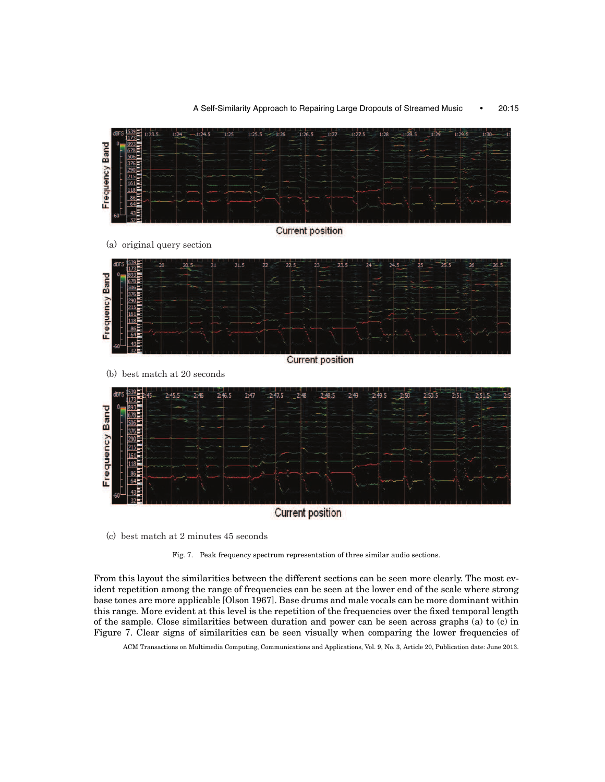



 $(c)$  best match at 2 minutes 45 seconds

Fig. 7. Peak frequency spectrum representation of three similar audio sections.

From this layout the similarities between the different sections can be seen more clearly. The most evident repetition among the range of frequencies can be seen at the lower end of the scale where strong base tones are more applicable [Olson 1967]. Base drums and male vocals can be more dominant within this range. More evident at this level is the repetition of the frequencies over the fixed temporal length of the sample. Close similarities between duration and power can be seen across graphs (a) to (c) in Figure 7. Clear signs of similarities can be seen visually when comparing the lower frequencies of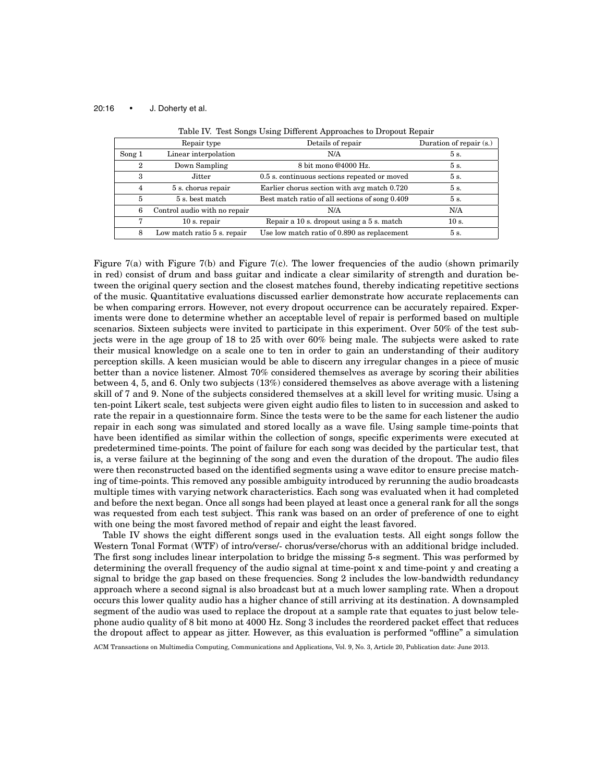## 20:16 • J. Doherty et al.

|                | Repair type                  | Details of repair                              | Duration of repair (s.) |  |
|----------------|------------------------------|------------------------------------------------|-------------------------|--|
| Song 1         | Linear interpolation         | N/A                                            | 5 s.                    |  |
| $\overline{2}$ | Down Sampling                | 8 bit mono @4000 Hz.                           | 5 s.                    |  |
| 3              | Jitter                       | 0.5 s. continuous sections repeated or moved   | 5 s.                    |  |
| 4              | 5 s. chorus repair           | Earlier chorus section with avg match 0.720    | 5 s.                    |  |
| 5              | 5 s. best match              | Best match ratio of all sections of song 0.409 | 5 s.                    |  |
| 6              | Control audio with no repair | N/A                                            | N/A                     |  |
| 7              | 10 s. repair                 | Repair a 10 s. dropout using a 5 s. match      | $10 s$ .                |  |
| 8              | Low match ratio 5 s. repair  | Use low match ratio of 0.890 as replacement    | 5 s.                    |  |

Table IV. Test Songs Using Different Approaches to Dropout Repair

Figure 7(a) with Figure 7(b) and Figure 7(c). The lower frequencies of the audio (shown primarily in red) consist of drum and bass guitar and indicate a clear similarity of strength and duration between the original query section and the closest matches found, thereby indicating repetitive sections of the music. Quantitative evaluations discussed earlier demonstrate how accurate replacements can be when comparing errors. However, not every dropout occurrence can be accurately repaired. Experiments were done to determine whether an acceptable level of repair is performed based on multiple scenarios. Sixteen subjects were invited to participate in this experiment. Over 50% of the test subjects were in the age group of 18 to 25 with over 60% being male. The subjects were asked to rate their musical knowledge on a scale one to ten in order to gain an understanding of their auditory perception skills. A keen musician would be able to discern any irregular changes in a piece of music better than a novice listener. Almost 70% considered themselves as average by scoring their abilities between 4, 5, and 6. Only two subjects (13%) considered themselves as above average with a listening skill of 7 and 9. None of the subjects considered themselves at a skill level for writing music. Using a ten-point Likert scale, test subjects were given eight audio files to listen to in succession and asked to rate the repair in a questionnaire form. Since the tests were to be the same for each listener the audio repair in each song was simulated and stored locally as a wave file. Using sample time-points that have been identified as similar within the collection of songs, specific experiments were executed at predetermined time-points. The point of failure for each song was decided by the particular test, that is, a verse failure at the beginning of the song and even the duration of the dropout. The audio files were then reconstructed based on the identified segments using a wave editor to ensure precise matching of time-points. This removed any possible ambiguity introduced by rerunning the audio broadcasts multiple times with varying network characteristics. Each song was evaluated when it had completed and before the next began. Once all songs had been played at least once a general rank for all the songs was requested from each test subject. This rank was based on an order of preference of one to eight with one being the most favored method of repair and eight the least favored.

Table IV shows the eight different songs used in the evaluation tests. All eight songs follow the Western Tonal Format (WTF) of intro/verse/- chorus/verse/chorus with an additional bridge included. The first song includes linear interpolation to bridge the missing 5-s segment. This was performed by determining the overall frequency of the audio signal at time-point x and time-point y and creating a signal to bridge the gap based on these frequencies. Song 2 includes the low-bandwidth redundancy approach where a second signal is also broadcast but at a much lower sampling rate. When a dropout occurs this lower quality audio has a higher chance of still arriving at its destination. A downsampled segment of the audio was used to replace the dropout at a sample rate that equates to just below telephone audio quality of 8 bit mono at 4000 Hz. Song 3 includes the reordered packet effect that reduces the dropout affect to appear as jitter. However, as this evaluation is performed "offline" a simulation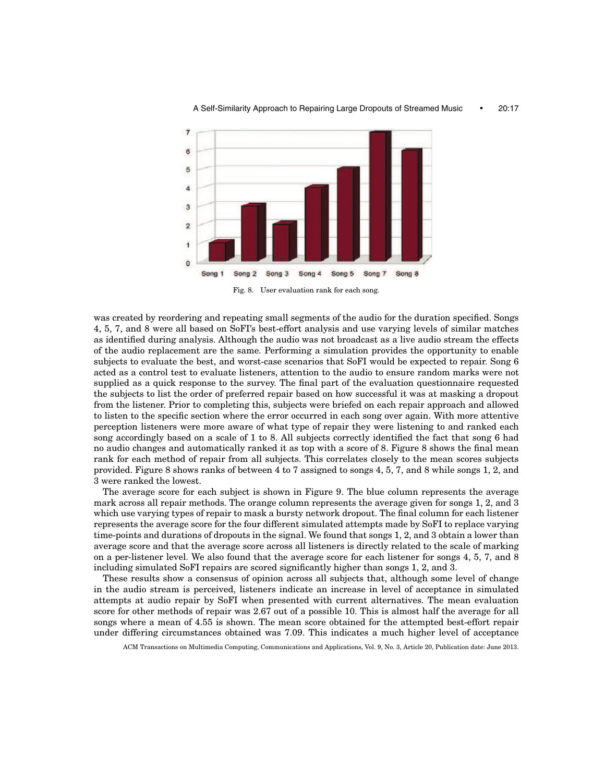

Fig. 8. User evaluation rank for each song.

was created by reordering and repeating small segments of the audio for the duration specified. Songs 4, 5, 7, and 8 were all based on SoFI's best-effort analysis and use varying levels of similar matches as identified during analysis. Although the audio was not broadcast as a live audio stream the effects of the audio replacement are the same. Performing a simulation provides the opportunity to enable subjects to evaluate the best, and worst-case scenarios that SoFI would be expected to repair. Song 6 acted as a control test to evaluate listeners, attention to the audio to ensure random marks were not supplied as a quick response to the survey. The final part of the evaluation questionnaire requested the subjects to list the order of preferred repair based on how successful it was at masking a dropout from the listener. Prior to completing this, subjects were briefed on each repair approach and allowed to listen to the specific section where the error occurred in each song over again. With more attentive perception listeners were more aware of what type of repair they were listening to and ranked each song accordingly based on a scale of 1 to 8. All subjects correctly identified the fact that song 6 had no audio changes and automatically ranked it as top with a score of 8. Figure 8 shows the final mean rank for each method of repair from all subjects. This correlates closely to the mean scores subjects provided. Figure 8 shows ranks of between 4 to 7 assigned to songs 4, 5, 7, and 8 while songs 1, 2, and 3 were ranked the lowest.

The average score for each subject is shown in Figure 9. The blue column represents the average mark across all repair methods. The orange column represents the average given for songs 1, 2, and 3 which use varying types of repair to mask a bursty network dropout. The final column for each listener represents the average score for the four different simulated attempts made by SoFI to replace varying time-points and durations of dropouts in the signal. We found that songs 1, 2, and 3 obtain a lower than average score and that the average score across all listeners is directly related to the scale of marking on a per-listener level. We also found that the average score for each listener for songs 4, 5, 7, and 8 including simulated SoFI repairs are scored significantly higher than songs 1, 2, and 3.

These results show a consensus of opinion across all subjects that, although some level of change in the audio stream is perceived, listeners indicate an increase in level of acceptance in simulated attempts at audio repair by SoFI when presented with current alternatives. The mean evaluation score for other methods of repair was 2.67 out of a possible 10. This is almost half the average for all songs where a mean of 4.55 is shown. The mean score obtained for the attempted best-effort repair under differing circumstances obtained was 7.09. This indicates a much higher level of acceptance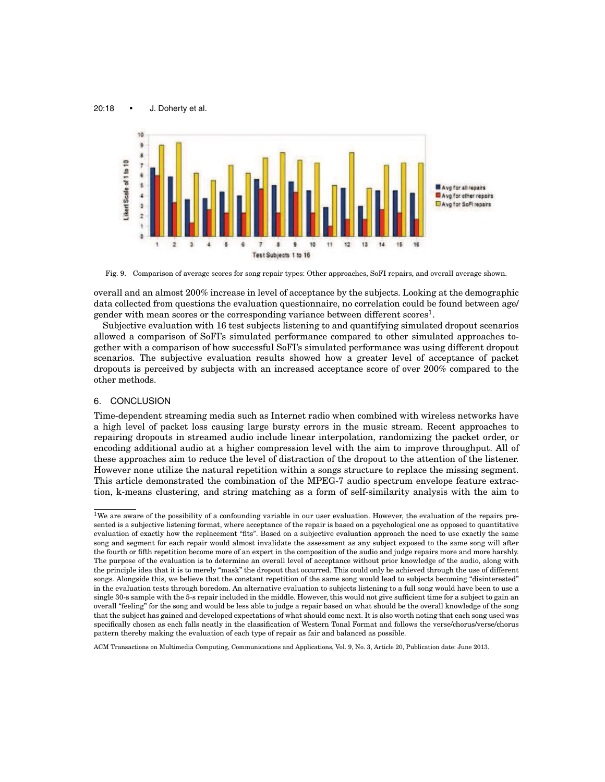



Fig. 9. Comparison of average scores for song repair types: Other approaches, SoFI repairs, and overall average shown.

overall and an almost 200% increase in level of acceptance by the subjects. Looking at the demographic data collected from questions the evaluation questionnaire, no correlation could be found between age/ gender with mean scores or the corresponding variance between different scores<sup>1</sup>.

Subjective evaluation with 16 test subjects listening to and quantifying simulated dropout scenarios allowed a comparison of SoFI's simulated performance compared to other simulated approaches together with a comparison of how successful SoFI's simulated performance was using different dropout scenarios. The subjective evaluation results showed how a greater level of acceptance of packet dropouts is perceived by subjects with an increased acceptance score of over 200% compared to the other methods.

### 6. CONCLUSION

Time-dependent streaming media such as Internet radio when combined with wireless networks have a high level of packet loss causing large bursty errors in the music stream. Recent approaches to repairing dropouts in streamed audio include linear interpolation, randomizing the packet order, or encoding additional audio at a higher compression level with the aim to improve throughput. All of these approaches aim to reduce the level of distraction of the dropout to the attention of the listener. However none utilize the natural repetition within a songs structure to replace the missing segment. This article demonstrated the combination of the MPEG-7 audio spectrum envelope feature extraction, k-means clustering, and string matching as a form of self-similarity analysis with the aim to

 $1$ We are aware of the possibility of a confounding variable in our user evaluation. However, the evaluation of the repairs presented is a subjective listening format, where acceptance of the repair is based on a psychological one as opposed to quantitative evaluation of exactly how the replacement "fits". Based on a subjective evaluation approach the need to use exactly the same song and segment for each repair would almost invalidate the assessment as any subject exposed to the same song will after the fourth or fifth repetition become more of an expert in the composition of the audio and judge repairs more and more harshly. The purpose of the evaluation is to determine an overall level of acceptance without prior knowledge of the audio, along with the principle idea that it is to merely "mask" the dropout that occurred. This could only be achieved through the use of different songs. Alongside this, we believe that the constant repetition of the same song would lead to subjects becoming "disinterested" in the evaluation tests through boredom. An alternative evaluation to subjects listening to a full song would have been to use a single 30-s sample with the 5-s repair included in the middle. However, this would not give sufficient time for a subject to gain an overall "feeling" for the song and would be less able to judge a repair based on what should be the overall knowledge of the song that the subject has gained and developed expectations of what should come next. It is also worth noting that each song used was specifically chosen as each falls neatly in the classification of Western Tonal Format and follows the verse/chorus/verse/chorus pattern thereby making the evaluation of each type of repair as fair and balanced as possible.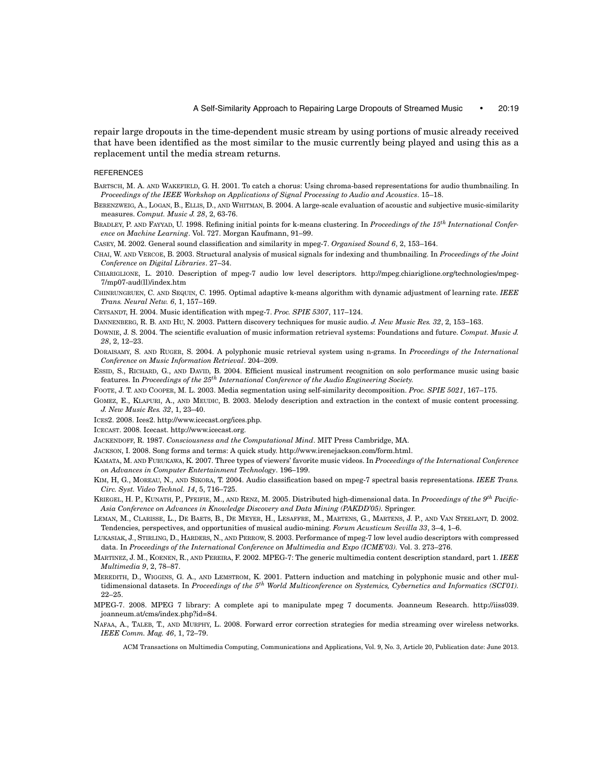repair large dropouts in the time-dependent music stream by using portions of music already received that have been identified as the most similar to the music currently being played and using this as a replacement until the media stream returns.

#### **REFERENCES**

BARTSCH, M. A. AND WAKEFIELD, G. H. 2001. To catch a chorus: Using chroma-based representations for audio thumbnailing. In *Proceedings of the IEEE Workshop on Applications of Signal Processing to Audio and Acoustics*. 15–18.

BERENZWEIG, A., LOGAN, B., ELLIS, D., AND WHITMAN, B. 2004. A large-scale evaluation of acoustic and subjective music-similarity measures. *Comput. Music J. 28*, 2, 63-76.

BRADLEY, P. AND FAYYAD, U. 1998. Refining initial points for k-means clustering. In *Proceedings of the 15th International Conference on Machine Learning*. Vol. 727. Morgan Kaufmann, 91–99.

CASEY, M. 2002. General sound classification and similarity in mpeg-7. *Organised Sound 6*, 2, 153–164.

CHAI, W. AND VERCOE, B. 2003. Structural analysis of musical signals for indexing and thumbnailing. In *Proceedings of the Joint Conference on Digital Libraries*. 27–34.

CHIARIGLIONE, L. 2010. Description of mpeg-7 audio low level descriptors. http://mpeg.chiariglione.org/technologies/mpeg-7/mp07-aud(ll)/index.htm

CHINRUNGRUEN, C. AND SEQUIN, C. 1995. Optimal adaptive k-means algorithm with dynamic adjustment of learning rate. *IEEE Trans. Neural Netw. 6*, 1, 157–169.

CRYSANDT, H. 2004. Music identification with mpeg-7. *Proc. SPIE 5307*, 117–124.

DANNENBERG, R. B. AND HU, N. 2003. Pattern discovery techniques for music audio. *J. New Music Res. 32*, 2, 153–163.

- DOWNIE, J. S. 2004. The scientific evaluation of music information retrieval systems: Foundations and future. *Comput. Music J. 28*, 2, 12–23.
- DORAISAMY, S. AND RUGER, S. 2004. A polyphonic music retrieval system using n-grams. In *Proceedings of the International Conference on Music Information Retrieval*. 204–209.
- ESSID, S., RICHARD, G., AND DAVID, B. 2004. Efficient musical instrument recognition on solo performance music using basic features. In *Proceedings of the 25th International Conference of the Audio Engineering Society.*
- FOOTE, J. T. AND COOPER, M. L. 2003. Media segmentation using self-similarity decomposition. *Proc. SPIE 5021*, 167–175.
- GOMEZ, E., KLAPURI, A., AND MEUDIC, B. 2003. Melody description and extraction in the context of music content processing. *J. New Music Res. 32*, 1, 23–40.
- ICES2. 2008. Ices2. http://www.icecast.org/ices.php.
- ICECAST. 2008. Icecast. http://www.icecast.org.
- JACKENDOFF, R. 1987. *Consciousness and the Computational Mind*. MIT Press Cambridge, MA.

JACKSON, I. 2008. Song forms and terms: A quick study. http://www.irenejackson.com/form.html.

- KAMATA, M. AND FURUKAWA, K. 2007. Three types of viewers' favorite music videos. In *Proceedings of the International Conference on Advances in Computer Entertainment Technology*. 196–199.
- KIM, H, G., MOREAU, N., AND SIKORA, T. 2004. Audio classification based on mpeg-7 spectral basis representations. *IEEE Trans. Circ. Syst. Video Technol. 14*, 5, 716–725.
- KRIEGEL, H. P., KUNATH, P., PFEIFIE, M., AND RENZ, M. 2005. Distributed high-dimensional data. In *Proceedings of the 9th Pacific-Asia Conference on Advances in Knowledge Discovery and Data Mining (PAKDD'05).* Springer.
- LEMAN, M., CLARISSE, L., DE BAETS, B., DE MEYER, H., LESAFFRE, M., MARTENS, G., MARTENS, J. P., AND VAN STEELANT, D. 2002. Tendencies, perspectives, and opportunities of musical audio-mining. *Forum Acusticum Sevilla 33*, 3–4, 1–6.
- LUKASIAK, J., STIRLING, D., HARDERS, N., AND PERROW, S. 2003. Performance of mpeg-7 low level audio descriptors with compressed data. In *Proceedings of the International Conference on Multimedia and Expo (ICME'03).* Vol. 3. 273–276.
- MARTINEZ, J. M., KOENEN, R., AND PEREIRA, F. 2002. MPEG-7: The generic multimedia content description standard, part 1. *IEEE Multimedia 9*, 2, 78–87.
- MEREDITH, D., WIGGINS, G. A., AND LEMSTROM, K. 2001. Pattern induction and matching in polyphonic music and other multidimensional datasets. In *Proceedings of the 5th World Multiconference on Systemics, Cybernetics and Informatics (SCI'01).* 22–25.
- MPEG-7. 2008. MPEG 7 library: A complete api to manipulate mpeg 7 documents. Joanneum Research. http://iiss039. joanneum.at/cms/index.php?id=84.

NAFAA, A., TALEB, T., AND MURPHY, L. 2008. Forward error correction strategies for media streaming over wireless networks. *IEEE Comm. Mag. 46*, 1, 72–79.